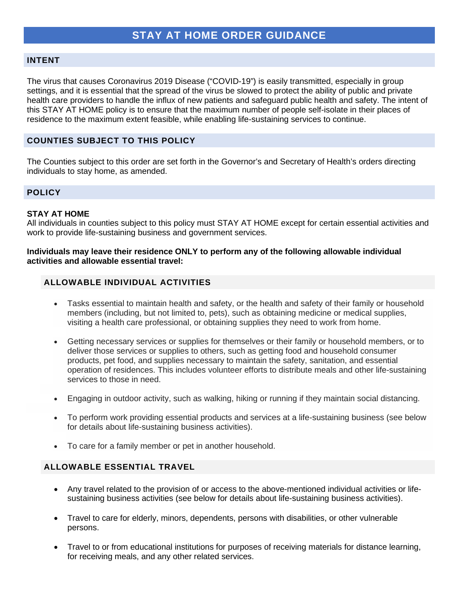### **INTENT**

The virus that causes Coronavirus 2019 Disease ("COVID-19") is easily transmitted, especially in group settings, and it is essential that the spread of the virus be slowed to protect the ability of public and private health care providers to handle the influx of new patients and safeguard public health and safety. The intent of this STAY AT HOME policy is to ensure that the maximum number of people self-isolate in their places of residence to the maximum extent feasible, while enabling life-sustaining services to continue.

## **COUNTIES SUBJECT TO THIS POLICY**

The Counties subject to this order are set forth in the Governor's and Secretary of Health's orders directing individuals to stay home, as amended.

## **POLICY**

### **STAY AT HOME**

All individuals in counties subject to this policy must STAY AT HOME except for certain essential activities and work to provide life-sustaining business and government services.

### **Individuals may leave their residence ONLY to perform any of the following allowable individual activities and allowable essential travel:**

# **ALLOWABLE INDIVIDUAL ACTIVITIES**

- Tasks essential to maintain health and safety, or the health and safety of their family or household members (including, but not limited to, pets), such as obtaining medicine or medical supplies, visiting a health care professional, or obtaining supplies they need to work from home.
- Getting necessary services or supplies for themselves or their family or household members, or to deliver those services or supplies to others, such as getting food and household consumer products, pet food, and supplies necessary to maintain the safety, sanitation, and essential operation of residences. This includes volunteer efforts to distribute meals and other life-sustaining services to those in need.
- Engaging in outdoor activity, such as walking, hiking or running if they maintain social distancing.
- To perform work providing essential products and services at a life-sustaining business (see below for details about life-sustaining business activities).
- To care for a family member or pet in another household.

## **ALLOWABLE ESSENTIAL TRAVEL**

- Any travel related to the provision of or access to the above-mentioned individual activities or lifesustaining business activities (see below for details about life-sustaining business activities).
- Travel to care for elderly, minors, dependents, persons with disabilities, or other vulnerable persons.
- Travel to or from educational institutions for purposes of receiving materials for distance learning, for receiving meals, and any other related services.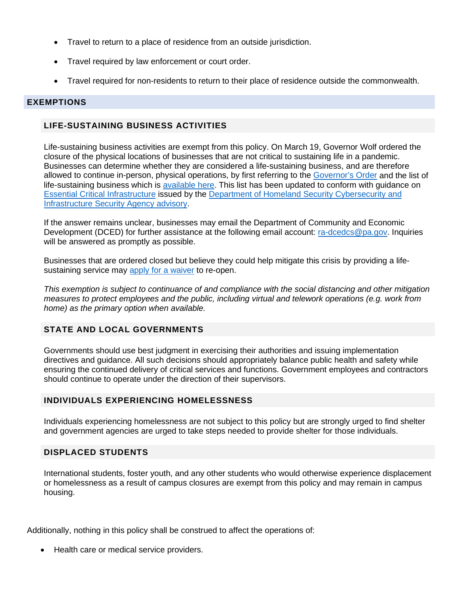- Travel to return to a place of residence from an outside jurisdiction.
- Travel required by law enforcement or court order.
- Travel required for non-residents to return to their place of residence outside the commonwealth.

### **EXEMPTIONS**

# **LIFE-SUSTAINING BUSINESS ACTIVITIES**

Life-sustaining business activities are exempt from this policy. On March 19, Governor Wolf ordered the closure of the physical locations of businesses that are not critical to sustaining life in a pandemic. Businesses can determine whether they are considered a life-sustaining business, and are therefore allowed to continue in-person, physical operations, by first referring to the [Governor's Order](https://www.governor.pa.gov/wp-content/uploads/2020/03/20200319-TWW-COVID-19-business-closure-order.pdf) and the list of life-sustaining business which is [available here.](https://www.scribd.com/document/452547980/UPDATED-LIST-Industry-Operation-Guidance-March-20-2020) This list has been updated to conform with guidance on [Essential Critical Infrastructure](https://www.cisa.gov/publication/guidance-essential-critical-infrastructure-workforce) issued by the [Department of Homeland Security Cybersecurity and](https://www.cisa.gov/identifying-critical-infrastructure-during-covid-19)  [Infrastructure Security Agency advisory.](https://www.cisa.gov/identifying-critical-infrastructure-during-covid-19)

If the answer remains unclear, businesses may email the Department of Community and Economic Development (DCED) for further assistance at the following email account: [ra-dcedcs@pa.gov.](mailto:ra-dcedcs@pa.gov) Inquiries will be answered as promptly as possible.

Businesses that are ordered closed but believe they could help mitigate this crisis by providing a lifesustaining service may [apply for a waiver](https://expressforms.pa.gov/apps/pa/DCED/Waiver-process-keeping-physical-locations-open) to re-open.

*This exemption is subject to continuance of and compliance with the social distancing and other mitigation measures to protect employees and the public, including virtual and telework operations (e.g. work from home) as the primary option when available.*

## **STATE AND LOCAL GOVERNMENTS**

Governments should use best judgment in exercising their authorities and issuing implementation directives and guidance. All such decisions should appropriately balance public health and safety while ensuring the continued delivery of critical services and functions. Government employees and contractors should continue to operate under the direction of their supervisors.

## **INDIVIDUALS EXPERIENCING HOMELESSNESS**

Individuals experiencing homelessness are not subject to this policy but are strongly urged to find shelter and government agencies are urged to take steps needed to provide shelter for those individuals.

### **DISPLACED STUDENTS**

International students, foster youth, and any other students who would otherwise experience displacement or homelessness as a result of campus closures are exempt from this policy and may remain in campus housing.

Additionally, nothing in this policy shall be construed to affect the operations of:

• Health care or medical service providers.